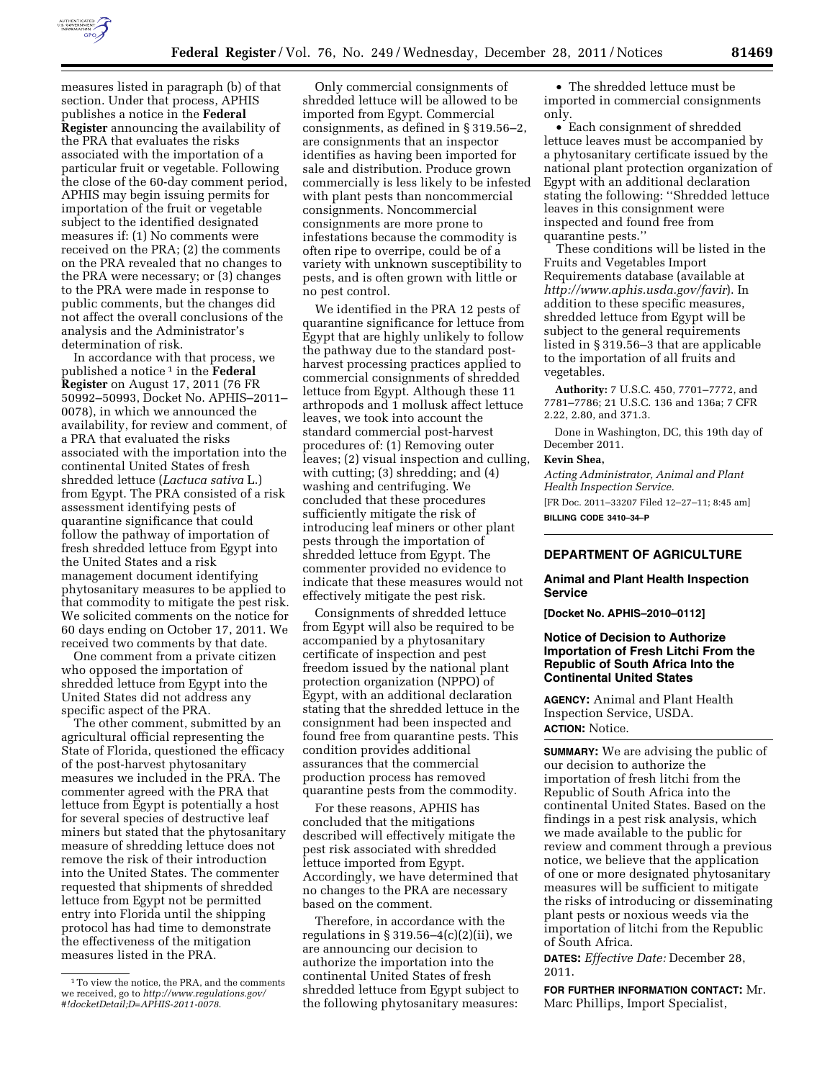

measures listed in paragraph (b) of that section. Under that process, APHIS publishes a notice in the **Federal Register** announcing the availability of the PRA that evaluates the risks associated with the importation of a particular fruit or vegetable. Following the close of the 60-day comment period, APHIS may begin issuing permits for importation of the fruit or vegetable subject to the identified designated measures if: (1) No comments were received on the PRA; (2) the comments on the PRA revealed that no changes to the PRA were necessary; or (3) changes to the PRA were made in response to public comments, but the changes did not affect the overall conclusions of the analysis and the Administrator's determination of risk.

In accordance with that process, we published a notice 1 in the **Federal Register** on August 17, 2011 (76 FR 50992–50993, Docket No. APHIS–2011– 0078), in which we announced the availability, for review and comment, of a PRA that evaluated the risks associated with the importation into the continental United States of fresh shredded lettuce (*Lactuca sativa* L.) from Egypt. The PRA consisted of a risk assessment identifying pests of quarantine significance that could follow the pathway of importation of fresh shredded lettuce from Egypt into the United States and a risk management document identifying phytosanitary measures to be applied to that commodity to mitigate the pest risk. We solicited comments on the notice for 60 days ending on October 17, 2011. We received two comments by that date.

One comment from a private citizen who opposed the importation of shredded lettuce from Egypt into the United States did not address any specific aspect of the PRA.

The other comment, submitted by an agricultural official representing the State of Florida, questioned the efficacy of the post-harvest phytosanitary measures we included in the PRA. The commenter agreed with the PRA that lettuce from Egypt is potentially a host for several species of destructive leaf miners but stated that the phytosanitary measure of shredding lettuce does not remove the risk of their introduction into the United States. The commenter requested that shipments of shredded lettuce from Egypt not be permitted entry into Florida until the shipping protocol has had time to demonstrate the effectiveness of the mitigation measures listed in the PRA.

Only commercial consignments of shredded lettuce will be allowed to be imported from Egypt. Commercial consignments, as defined in § 319.56–2, are consignments that an inspector identifies as having been imported for sale and distribution. Produce grown commercially is less likely to be infested with plant pests than noncommercial consignments. Noncommercial consignments are more prone to infestations because the commodity is often ripe to overripe, could be of a variety with unknown susceptibility to pests, and is often grown with little or no pest control.

We identified in the PRA 12 pests of quarantine significance for lettuce from Egypt that are highly unlikely to follow the pathway due to the standard postharvest processing practices applied to commercial consignments of shredded lettuce from Egypt. Although these 11 arthropods and 1 mollusk affect lettuce leaves, we took into account the standard commercial post-harvest procedures of: (1) Removing outer leaves; (2) visual inspection and culling, with cutting; (3) shredding; and (4) washing and centrifuging. We concluded that these procedures sufficiently mitigate the risk of introducing leaf miners or other plant pests through the importation of shredded lettuce from Egypt. The commenter provided no evidence to indicate that these measures would not effectively mitigate the pest risk.

Consignments of shredded lettuce from Egypt will also be required to be accompanied by a phytosanitary certificate of inspection and pest freedom issued by the national plant protection organization (NPPO) of Egypt, with an additional declaration stating that the shredded lettuce in the consignment had been inspected and found free from quarantine pests. This condition provides additional assurances that the commercial production process has removed quarantine pests from the commodity.

For these reasons, APHIS has concluded that the mitigations described will effectively mitigate the pest risk associated with shredded lettuce imported from Egypt. Accordingly, we have determined that no changes to the PRA are necessary based on the comment.

Therefore, in accordance with the regulations in § 319.56–4 $(c)(2)(ii)$ , we are announcing our decision to authorize the importation into the continental United States of fresh shredded lettuce from Egypt subject to the following phytosanitary measures:

• The shredded lettuce must be imported in commercial consignments only.

• Each consignment of shredded lettuce leaves must be accompanied by a phytosanitary certificate issued by the national plant protection organization of Egypt with an additional declaration stating the following: ''Shredded lettuce leaves in this consignment were inspected and found free from quarantine pests.''

These conditions will be listed in the Fruits and Vegetables Import Requirements database (available at *<http://www.aphis.usda.gov/favir>*). In addition to these specific measures, shredded lettuce from Egypt will be subject to the general requirements listed in § 319.56–3 that are applicable to the importation of all fruits and vegetables.

**Authority:** 7 U.S.C. 450, 7701–7772, and 7781–7786; 21 U.S.C. 136 and 136a; 7 CFR 2.22, 2.80, and 371.3.

Done in Washington, DC, this 19th day of December 2011.

#### **Kevin Shea,**

*Acting Administrator, Animal and Plant Health Inspection Service.*  [FR Doc. 2011–33207 Filed 12–27–11; 8:45 am] **BILLING CODE 3410–34–P** 

# **DEPARTMENT OF AGRICULTURE**

### **Animal and Plant Health Inspection Service**

**[Docket No. APHIS–2010–0112]** 

### **Notice of Decision to Authorize Importation of Fresh Litchi From the Republic of South Africa Into the Continental United States**

**AGENCY:** Animal and Plant Health Inspection Service, USDA. **ACTION:** Notice.

**SUMMARY:** We are advising the public of our decision to authorize the importation of fresh litchi from the Republic of South Africa into the continental United States. Based on the findings in a pest risk analysis, which we made available to the public for review and comment through a previous notice, we believe that the application of one or more designated phytosanitary measures will be sufficient to mitigate the risks of introducing or disseminating plant pests or noxious weeds via the importation of litchi from the Republic of South Africa.

**DATES:** *Effective Date:* December 28, 2011.

**FOR FURTHER INFORMATION CONTACT:** Mr. Marc Phillips, Import Specialist,

<sup>1</sup>To view the notice, the PRA, and the comments we received, go to *[http://www.regulations.gov/](http://www.regulations.gov/#!docketDetail;D=APHIS-2011-0078)  [#!docketDetail;D=APHIS-2011-0078](http://www.regulations.gov/#!docketDetail;D=APHIS-2011-0078)*.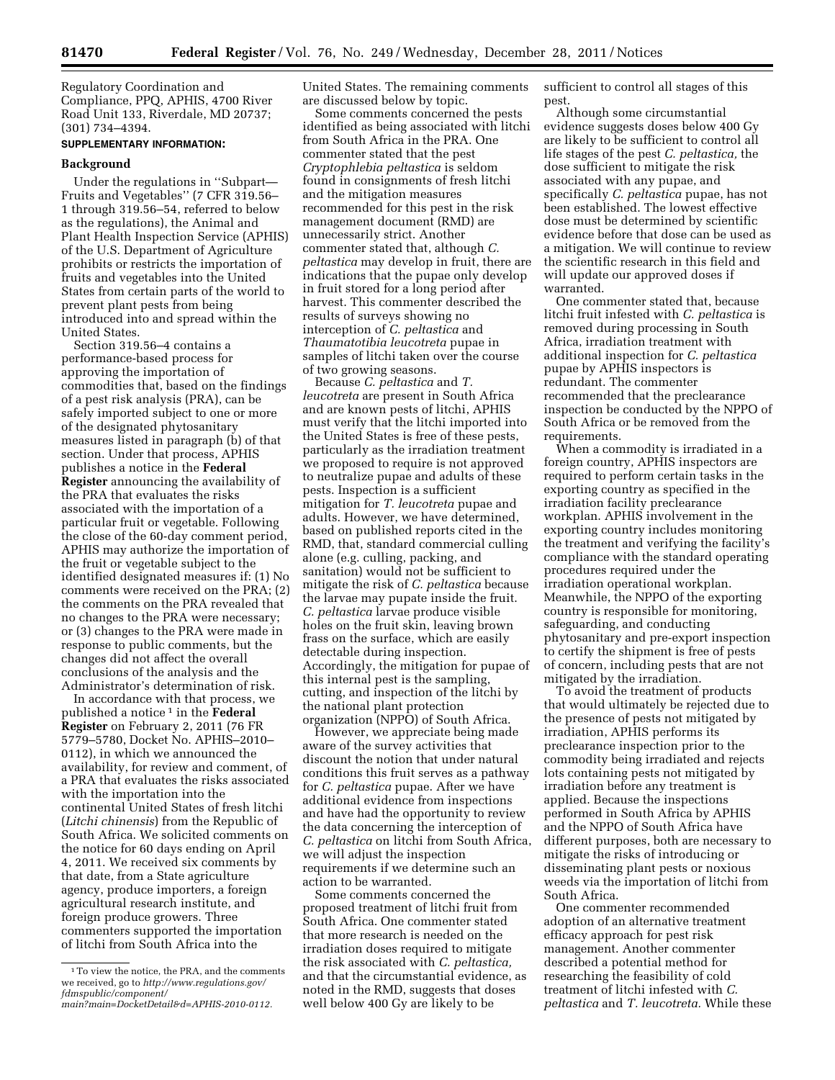Regulatory Coordination and Compliance, PPQ, APHIS, 4700 River Road Unit 133, Riverdale, MD 20737; (301) 734–4394.

## **SUPPLEMENTARY INFORMATION:**

### **Background**

Under the regulations in ''Subpart— Fruits and Vegetables'' (7 CFR 319.56– 1 through 319.56–54, referred to below as the regulations), the Animal and Plant Health Inspection Service (APHIS) of the U.S. Department of Agriculture prohibits or restricts the importation of fruits and vegetables into the United States from certain parts of the world to prevent plant pests from being introduced into and spread within the United States.

Section 319.56–4 contains a performance-based process for approving the importation of commodities that, based on the findings of a pest risk analysis (PRA), can be safely imported subject to one or more of the designated phytosanitary measures listed in paragraph (b) of that section. Under that process, APHIS publishes a notice in the **Federal Register** announcing the availability of the PRA that evaluates the risks associated with the importation of a particular fruit or vegetable. Following the close of the 60-day comment period, APHIS may authorize the importation of the fruit or vegetable subject to the identified designated measures if: (1) No comments were received on the PRA; (2) the comments on the PRA revealed that no changes to the PRA were necessary; or (3) changes to the PRA were made in response to public comments, but the changes did not affect the overall conclusions of the analysis and the Administrator's determination of risk.

In accordance with that process, we published a notice 1 in the **Federal Register** on February 2, 2011 (76 FR 5779–5780, Docket No. APHIS–2010– 0112), in which we announced the availability, for review and comment, of a PRA that evaluates the risks associated with the importation into the continental United States of fresh litchi (*Litchi chinensis*) from the Republic of South Africa. We solicited comments on the notice for 60 days ending on April 4, 2011. We received six comments by that date, from a State agriculture agency, produce importers, a foreign agricultural research institute, and foreign produce growers. Three commenters supported the importation of litchi from South Africa into the

United States. The remaining comments are discussed below by topic.

Some comments concerned the pests identified as being associated with litchi from South Africa in the PRA. One commenter stated that the pest *Cryptophlebia peltastica* is seldom found in consignments of fresh litchi and the mitigation measures recommended for this pest in the risk management document (RMD) are unnecessarily strict. Another commenter stated that, although *C. peltastica* may develop in fruit, there are indications that the pupae only develop in fruit stored for a long period after harvest. This commenter described the results of surveys showing no interception of *C. peltastica* and *Thaumatotibia leucotreta* pupae in samples of litchi taken over the course of two growing seasons.

Because *C. peltastica* and *T. leucotreta* are present in South Africa and are known pests of litchi, APHIS must verify that the litchi imported into the United States is free of these pests, particularly as the irradiation treatment we proposed to require is not approved to neutralize pupae and adults of these pests. Inspection is a sufficient mitigation for *T. leucotreta* pupae and adults. However, we have determined, based on published reports cited in the RMD, that, standard commercial culling alone (e.g. culling, packing, and sanitation) would not be sufficient to mitigate the risk of *C. peltastica* because the larvae may pupate inside the fruit. *C. peltastica* larvae produce visible holes on the fruit skin, leaving brown frass on the surface, which are easily detectable during inspection. Accordingly, the mitigation for pupae of this internal pest is the sampling, cutting, and inspection of the litchi by the national plant protection organization (NPPO) of South Africa.

However, we appreciate being made aware of the survey activities that discount the notion that under natural conditions this fruit serves as a pathway for *C. peltastica* pupae. After we have additional evidence from inspections and have had the opportunity to review the data concerning the interception of *C. peltastica* on litchi from South Africa, we will adjust the inspection requirements if we determine such an action to be warranted.

Some comments concerned the proposed treatment of litchi fruit from South Africa. One commenter stated that more research is needed on the irradiation doses required to mitigate the risk associated with *C. peltastica,*  and that the circumstantial evidence, as noted in the RMD, suggests that doses well below 400 Gy are likely to be

sufficient to control all stages of this pest.

Although some circumstantial evidence suggests doses below 400 Gy are likely to be sufficient to control all life stages of the pest *C. peltastica,* the dose sufficient to mitigate the risk associated with any pupae, and specifically *C. peltastica* pupae, has not been established. The lowest effective dose must be determined by scientific evidence before that dose can be used as a mitigation. We will continue to review the scientific research in this field and will update our approved doses if warranted.

One commenter stated that, because litchi fruit infested with *C. peltastica* is removed during processing in South Africa, irradiation treatment with additional inspection for *C. peltastica*  pupae by APHIS inspectors is redundant. The commenter recommended that the preclearance inspection be conducted by the NPPO of South Africa or be removed from the requirements.

When a commodity is irradiated in a foreign country, APHIS inspectors are required to perform certain tasks in the exporting country as specified in the irradiation facility preclearance workplan. APHIS involvement in the exporting country includes monitoring the treatment and verifying the facility's compliance with the standard operating procedures required under the irradiation operational workplan. Meanwhile, the NPPO of the exporting country is responsible for monitoring, safeguarding, and conducting phytosanitary and pre-export inspection to certify the shipment is free of pests of concern, including pests that are not mitigated by the irradiation.

To avoid the treatment of products that would ultimately be rejected due to the presence of pests not mitigated by irradiation, APHIS performs its preclearance inspection prior to the commodity being irradiated and rejects lots containing pests not mitigated by irradiation before any treatment is applied. Because the inspections performed in South Africa by APHIS and the NPPO of South Africa have different purposes, both are necessary to mitigate the risks of introducing or disseminating plant pests or noxious weeds via the importation of litchi from South Africa.

One commenter recommended adoption of an alternative treatment efficacy approach for pest risk management. Another commenter described a potential method for researching the feasibility of cold treatment of litchi infested with *C. peltastica* and *T. leucotreta.* While these

<sup>1</sup>To view the notice, the PRA, and the comments we received, go to *[http://www.regulations.gov/](http://www.regulations.gov/fdmspublic/component/main?main=DocketDetail&d=APHIS-2010-0112)  [fdmspublic/component/](http://www.regulations.gov/fdmspublic/component/main?main=DocketDetail&d=APHIS-2010-0112)* 

*[main?main=DocketDetail&d=APHIS-2010-0112.](http://www.regulations.gov/fdmspublic/component/main?main=DocketDetail&d=APHIS-2010-0112)*